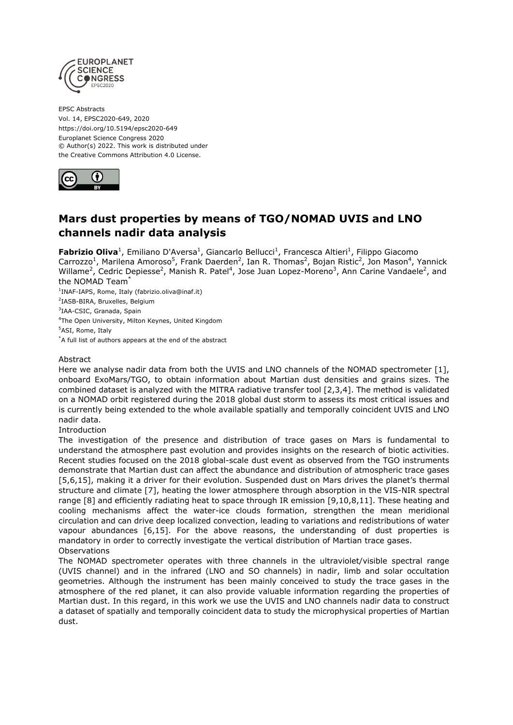

EPSC Abstracts Vol. 14, EPSC2020-649, 2020 https://doi.org/10.5194/epsc2020-649 Europlanet Science Congress 2020 © Author(s) 2022. This work is distributed under the Creative Commons Attribution 4.0 License.



## **Mars dust properties by means of TGO/NOMAD UVIS and LNO channels nadir data analysis**

**Fabrizio Oliva<sup>1</sup>**, Emiliano D'Aversa<sup>1</sup>, Giancarlo Bellucci<sup>1</sup>, Francesca Altieri<sup>1</sup>, Filippo Giacomo Carrozzo<sup>1</sup>, Marilena Amoroso<sup>5</sup>, Frank Daerden<sup>2</sup>, Ian R. Thomas<sup>2</sup>, Bojan Ristic<sup>2</sup>, Jon Mason<sup>4</sup>, Yannick Willame<sup>2</sup>, Cedric Depiesse<sup>2</sup>, Manish R. Patel<sup>4</sup>, Jose Juan Lopez-Moreno<sup>3</sup>, Ann Carine Vandaele<sup>2</sup>, and the NOMAD Team\*

 INAF-IAPS, Rome, Italy (fabrizio.oliva@inaf.it) IASB-BIRA, Bruxelles, Belgium <sup>3</sup>IAA-CSIC, Granada, Spain The Open University, Milton Keynes, United Kingdom ASI, Rome, Italy

\*A full list of authors appears at the end of the abstract

## Abstract

Here we analyse nadir data from both the UVIS and LNO channels of the NOMAD spectrometer [1], onboard ExoMars/TGO, to obtain information about Martian dust densities and grains sizes. The combined dataset is analyzed with the MITRA radiative transfer tool [2,3,4]. The method is validated on a NOMAD orbit registered during the 2018 global dust storm to assess its most critical issues and is currently being extended to the whole available spatially and temporally coincident UVIS and LNO nadir data.

Introduction

The investigation of the presence and distribution of trace gases on Mars is fundamental to understand the atmosphere past evolution and provides insights on the research of biotic activities. Recent studies focused on the 2018 global-scale dust event as observed from the TGO instruments demonstrate that Martian dust can affect the abundance and distribution of atmospheric trace gases [5,6,15], making it a driver for their evolution. Suspended dust on Mars drives the planet's thermal structure and climate [7], heating the lower atmosphere through absorption in the VIS-NIR spectral range [8] and efficiently radiating heat to space through IR emission [9,10,8,11]. These heating and cooling mechanisms affect the water-ice clouds formation, strengthen the mean meridional circulation and can drive deep localized convection, leading to variations and redistributions of water vapour abundances [6,15]. For the above reasons, the understanding of dust properties is mandatory in order to correctly investigate the vertical distribution of Martian trace gases. **Observations** 

The NOMAD spectrometer operates with three channels in the ultraviolet/visible spectral range (UVIS channel) and in the infrared (LNO and SO channels) in nadir, limb and solar occultation geometries. Although the instrument has been mainly conceived to study the trace gases in the atmosphere of the red planet, it can also provide valuable information regarding the properties of Martian dust. In this regard, in this work we use the UVIS and LNO channels nadir data to construct a dataset of spatially and temporally coincident data to study the microphysical properties of Martian dust.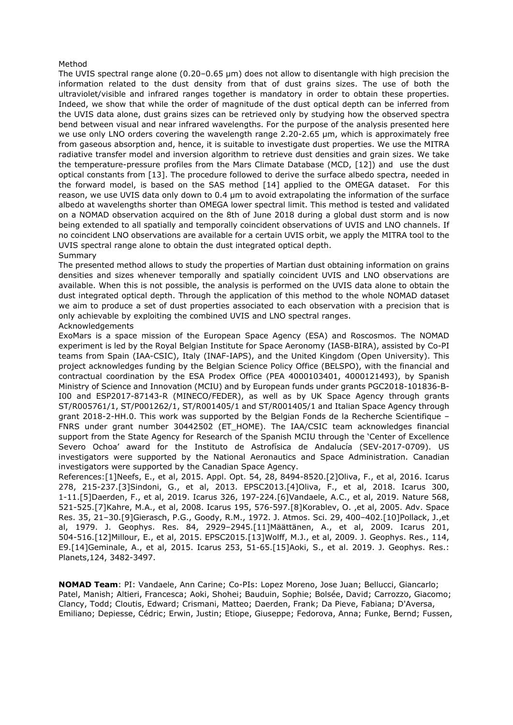## Method

The UVIS spectral range alone (0.20–0.65 μm) does not allow to disentangle with high precision the information related to the dust density from that of dust grains sizes. The use of both the ultraviolet/visible and infrared ranges together is mandatory in order to obtain these properties. Indeed, we show that while the order of magnitude of the dust optical depth can be inferred from the UVIS data alone, dust grains sizes can be retrieved only by studying how the observed spectra bend between visual and near infrared wavelengths. For the purpose of the analysis presented here we use only LNO orders covering the wavelength range 2.20-2.65 μm, which is approximately free from gaseous absorption and, hence, it is suitable to investigate dust properties. We use the MITRA radiative transfer model and inversion algorithm to retrieve dust densities and grain sizes. We take the temperature-pressure profiles from the Mars Climate Database (MCD, [12]) and use the dust optical constants from [13]. The procedure followed to derive the surface albedo spectra, needed in the forward model, is based on the SAS method [14] applied to the OMEGA dataset. For this reason, we use UVIS data only down to 0.4 μm to avoid extrapolating the information of the surface albedo at wavelengths shorter than OMEGA lower spectral limit. This method is tested and validated on a NOMAD observation acquired on the 8th of June 2018 during a global dust storm and is now being extended to all spatially and temporally coincident observations of UVIS and LNO channels. If no coincident LNO observations are available for a certain UVIS orbit, we apply the MITRA tool to the UVIS spectral range alone to obtain the dust integrated optical depth. Summary

The presented method allows to study the properties of Martian dust obtaining information on grains densities and sizes whenever temporally and spatially coincident UVIS and LNO observations are available. When this is not possible, the analysis is performed on the UVIS data alone to obtain the dust integrated optical depth. Through the application of this method to the whole NOMAD dataset we aim to produce a set of dust properties associated to each observation with a precision that is only achievable by exploiting the combined UVIS and LNO spectral ranges. Acknowledgements

ExoMars is a space mission of the European Space Agency (ESA) and Roscosmos. The NOMAD experiment is led by the Royal Belgian Institute for Space Aeronomy (IASB-BIRA), assisted by Co-PI teams from Spain (IAA-CSIC), Italy (INAF-IAPS), and the United Kingdom (Open University). This project acknowledges funding by the Belgian Science Policy Office (BELSPO), with the financial and contractual coordination by the ESA Prodex Office (PEA 4000103401, 4000121493), by Spanish Ministry of Science and Innovation (MCIU) and by European funds under grants PGC2018-101836-B-I00 and ESP2017-87143-R (MINECO/FEDER), as well as by UK Space Agency through grants ST/R005761/1, ST/P001262/1, ST/R001405/1 and ST/R001405/1 and Italian Space Agency through grant 2018-2-HH.0. This work was supported by the Belgian Fonds de la Recherche Scientifique – FNRS under grant number 30442502 (ET\_HOME). The IAA/CSIC team acknowledges financial support from the State Agency for Research of the Spanish MCIU through the 'Center of Excellence Severo Ochoa' award for the Instituto de Astrofísica de Andalucía (SEV-2017-0709). US investigators were supported by the National Aeronautics and Space Administration. Canadian investigators were supported by the Canadian Space Agency.

References:[1]Neefs, E., et al, 2015. Appl. Opt. 54, 28, 8494-8520.[2]Oliva, F., et al, 2016. Icarus 278, 215-237.[3]Sindoni, G., et al, 2013. EPSC2013.[4]Oliva, F., et al, 2018. Icarus 300, 1-11.[5]Daerden, F., et al, 2019. Icarus 326, 197-224.[6]Vandaele, A.C., et al, 2019. Nature 568, 521-525.[7]Kahre, M.A., et al, 2008. Icarus 195, 576-597.[8]Korablev, O. ,et al, 2005. Adv. Space Res. 35, 21–30.[9]Gierasch, P.G., Goody, R.M., 1972. J. Atmos. Sci. 29, 400–402.[10]Pollack, J.,et al, 1979. J. Geophys. Res. 84, 2929–2945.[11]Määttänen, A., et al, 2009. Icarus 201, 504-516.[12]Millour, E., et al, 2015. EPSC2015.[13]Wolff, M.J., et al, 2009. J. Geophys. Res., 114, E9.[14]Geminale, A., et al, 2015. Icarus 253, 51-65.[15]Aoki, S., et al. 2019. J. Geophys. Res.: Planets,124, 3482-3497.

**NOMAD Team**: PI: Vandaele, Ann Carine; Co-PIs: Lopez Moreno, Jose Juan; Bellucci, Giancarlo; Patel, Manish; Altieri, Francesca; Aoki, Shohei; Bauduin, Sophie; Bolsée, David; Carrozzo, Giacomo; Clancy, Todd; Cloutis, Edward; Crismani, Matteo; Daerden, Frank; Da Pieve, Fabiana; D'Aversa, Emiliano; Depiesse, Cédric; Erwin, Justin; Etiope, Giuseppe; Fedorova, Anna; Funke, Bernd; Fussen,